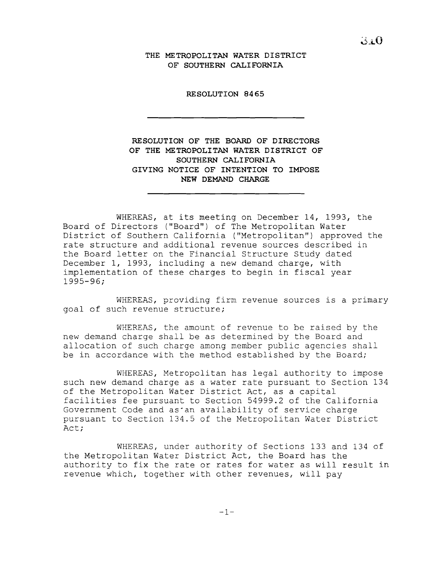**THE METROPOLITAN WATER DISTRICT OF SOUTHERN CALIFORNIA**

**RESOLUTION 8465**

**RESOLUTION OF THE BOARD OF DIRECTORS OF THE METROPOLITAN WATER DISTRICT OF SOUTHERN CALIFORNIA GIVING NOTICE OF INTENTION TO IMPOSE NEW DEMAND CHARGE**

WHEREAS, at its meeting on December 14, 1993, the Board of Directors ("Board") of The Metropolitan Water District of Southern California ("Metropolitan") approved the rate structure and additional revenue sources described in the Board letter on the Financial Structure Study dated December **1,** 1993, including a new demand charge, with implementation of these charges to begin in fiscal year 1995-96;

WHEREAS, providing firm revenue sources is <sup>a</sup> primary goal of such revenue structure;

WHEREAS, the amount of revenue to be raised by the new demand charge shall be as determined by the Board and allocation of such charge among member public agencies shall be in accordance with the method established by the Board;

WHEREAS, Metropolitan has legal authority to impose such new demand charge as a water rate pursuant to Section 134 of the Metropolitan Water District Act, as <sup>a</sup> capital facilities fee pursuant to Section 54999.2 of the California Government Code and as'an availability of service charge pursuant to Section 134.5 of the Metropolitan Water District Act;

WHEREAS, under authority of Sections 133 and 134 of the Metropolitan Water District Act, the Board has the authority to fix the rate or rates for water as will result in revenue which, together with other revenues, will pay

 $3.0$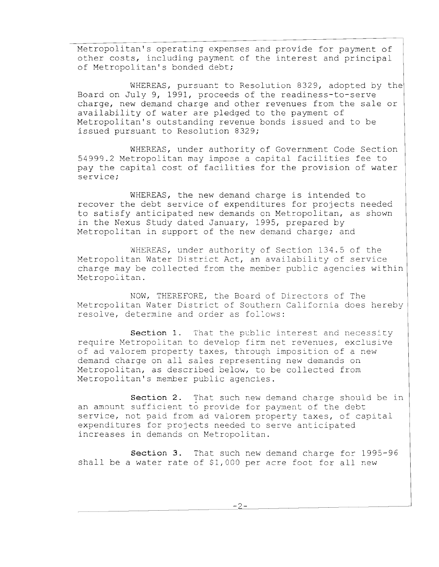Metropolitan's operating expenses and provide for payment of other costs, including payment of the interest and principal of Metropolitan's bonded debt;

WHEREAS, pursuant to Resolution 8329, adopted by the Board on July 9, 1991, proceeds of the readiness-to-serve charge, new demand charge and other revenues from the sale or availability of water are pledged to the payment of Metropolitan's outstanding revenue bonds issued and to be issued pursuant to Resolution 8329;

WHEREAS, under authority of Government Code Section 54999.2 Metropolitan may impose <sup>a</sup> capital facilities fee to pay the capital cost of facilities for the provision of water service;

WHEREAS, the new demand charge is intended to recover the debt service of expenditures for projects needed to satisfy anticipated new demands on Metropolitan, as shown in the Nexus Study dated January, 1995, prepared by Metropolitan in support of the new demand charge; and

WHEREAS, under authority of Section 134.5 of the Metropolitan Water District Act, an availability of service charge may be collected from the member public agencies within Metropolitan.

NOW, THEREFORE, the Board of Directors of The Metropolitan Water District of Southern California does hereby resolve, determine and order as follows:

**Section 1.** That the public interest and necessity require Metropolitan to develop firm net revenues, exclusive of ad valorem property taxes, through imposition of a new demand charge on all sales representing new demands on Metropolitan, as described below, to be collected from Metropolitan's member public agencies.

**Section 2.** That such new demand charge should be in an amount sufficient to provide for payment of the debt service, not paid from ad valorem property taxes, of capital expenditures for projects needed to serve anticipated increases in demands on Metropolitan.

**Section 3.** That such new demand charge for 1995-96 shall be <sup>a</sup> water rate of \$1,000 per acre foot for all new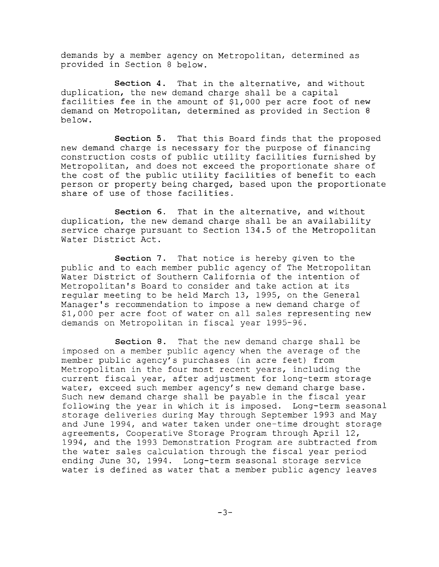demands by a member agency on Metropolitan, determined as provided in Section 8 below.

**Section 4.** That in the alternative, and without duplication, the new demand charge shall be a capital facilities fee in the amount of \$1,000 per acre foot of new demand on Metropolitan, determined as provided in Section 8 below.

**Section 5.** That this Board finds that the proposed new demand charge is necessary for the purpose of financing construction costs of public utility facilities furnished by Metropolitan, and does not exceed the proportionate share of the cost of the public utility facilities of benefit to each person or property being charged, based upon the proportionate share of use of those facilities.

**Section 6.** That in the alternative, and without duplication, the new demand charge shall be an availability service charge pursuant to Section 134.5 of the Metropolitan Water District Act.

**Section 7.** That notice is hereby given to the public and to each member public agency of The Metropolitan Water District of Southern California of the intention of Metropolitan's Board to consider and take action at its regular meeting to be held March 13, 1995, on the General Manager's recommendation to impose a new demand charge of \$1,000 per acre foot of water on all sales representing new demands on Metropolitan in fiscal year 1995-96.

**Section 8.** That the new demand charge shall be imposed on a member public agency when the average of the member public agency's purchases (in acre feet) from Metropolitan in the four most recent years, including the current fiscal year, after adjustment for long-term storage water, exceed such member agency's new demand charge base. Such new demand charge shall be payable in the fiscal year following the year in which it is imposed. Long-term seasonal storage deliveries during May through September 1993 and May and June 1994, and water taken under one-time drought storage agreements, Cooperative Storage Program through April 12, 1994, and the 1993 Demonstration Program are subtracted from the water sales calculation through the fiscal year period ending June 30, 1994. Long-term seasonal storage service water is defined as water that <sup>a</sup> member public agency leaves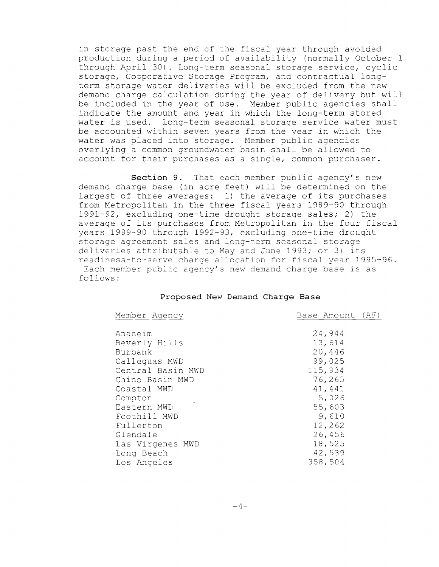in storage past the end of the fiscal year through avoided production during <sup>a</sup> period of availability (normally October <sup>1</sup> through April 30). Long-term seasonal storage service, cyclic storage, Cooperative Storage Program, and contractual longterm storage water deliveries will be excluded from the new demand charge calculation during the year of delivery but will be included in the year of use. Member public agencies shall indicate the amount and year in which the long-term stored water is used. Long-term seasonal storage service water must be accounted within seven years from the year in which the water was placed into storage. Member public agencies overlying a common groundwater basin shall be allowed to account for their purchases as <sup>a</sup> single, common purchaser.

**Section 9.** That each member public agency's new demand charge base (in acre feet) will be determined on the largest of three averages: 1) the average of its purchases from Metropolitan in the three fiscal years 1989-90 through 1991-92, excluding one-time drought storage sales; 2) the average of its purchases from Metropolitan in the four fiscal years 1989-90 through 1992-93, excluding one-time drought storage agreement sales and long-term seasonal storage deliveries attributable to May and June 1993; or 3) its readiness-to-serve charge allocation for fiscal year 1995-96. Each member public agency's new demand charge base is as follows:

## **Proposed New Demand Charge Base**

| Member Agency     | Base Amount (AF) |
|-------------------|------------------|
|                   |                  |
| Anaheim           | 24,944           |
| Beverly Hills     | 13,614           |
| Burbank           | 20,446           |
| Callequas MWD     | 99,025           |
| Central Basin MWD | 115,834          |
| Chino Basin MWD   | 76,265           |
| Coastal MWD       | 41,441           |
| Compton           | 5,026            |
| Eastern MWD       | 55,603           |
| Foothill MWD      | 9,610            |
| Fullerton         | 12,262           |
| Glendale          | 26,456           |
| Las Virgenes MWD  | 18,525           |
| Long Beach        | 42,539           |
| Los Angeles       | 358,504          |
|                   |                  |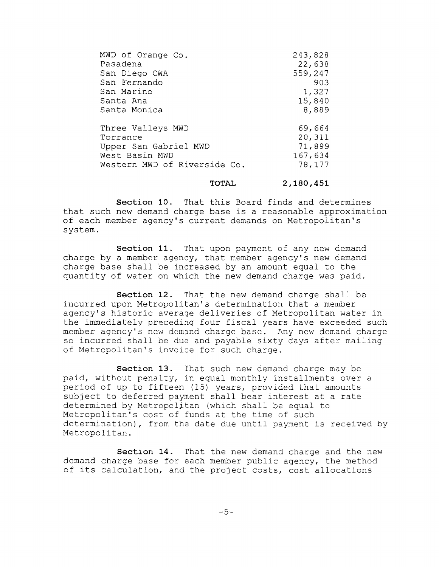| MWD of Orange Co.<br>Pasadena | 243,828<br>22,638 |
|-------------------------------|-------------------|
| San Diego CWA                 | 559,247           |
| San Fernando                  | 903               |
| San Marino                    | 1,327             |
| Santa Ana                     | 15,840            |
| Santa Monica                  | 8,889             |
| Three Valleys MWD             | 69,664            |
| Torrance                      | 20,311            |
| Upper San Gabriel MWD         | 71,899            |
| West Basin MWD                | 167,634           |
| Western MWD of Riverside Co.  | 78,177            |
|                               |                   |

## **TOTAL**

**2,180,451**

**Section 10.** That this Board finds and determines that such new demand charge base is <sup>a</sup> reasonable approximation of each member agency's current demands on Metropolitan's system.

**section 11.** That upon payment of any new demand charge by <sup>a</sup> member agency, that member agency's new demand charge base shall be increased by an amount equal to the quantity of water on which the new demand charge was paid.

**Section 12.** That the new demand charge shall be incurred upon Metropolitan's determination that <sup>a</sup> member agency's historic average deliveries of Metropolitan water in the immediately preceding four fiscal years have exceeded such member agency's new demand charge base. Any new demand charge so incurred shall be due and payable sixty days after mailing of Metropolitan's invoice for such charge.

**Section 13.** That such new demand charge may be paid, without penalty, in equal monthly installments over a period of up to fifteen (15) years, provided that amounts subject to deferred payment shall bear interest at <sup>a</sup> rate determined by Metropolitan (which shall be equal to Metropolitan's cost of funds at the time of such determination), from the date due until payment is received by Metropolitan.

**Section 14.** That the new demand charge and the new demand charge base for each member public agency, the method of its calculation, and the project costs, cost allocations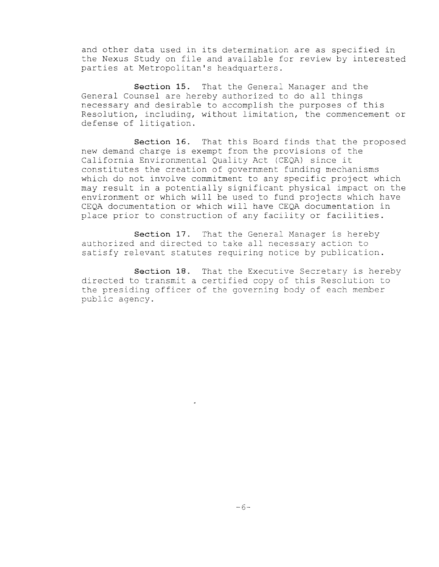and other data used in its determination are as specified in the Nexus Study on file and available for review by interested parties at Metropolitan's headquarters.

**Section 15.** That the General Manager and the General Counsel are hereby authorized to do all things necessary and desirable to accomplish the purposes of this Resolution, including, without limitation, the commencement or defense of litigation.

**section 16.** That this Board finds that the proposed new demand charge is exempt from the provisions of the California Environmental Quality Act (CEQA) since it constitutes the creation of government funding mechanisms which do not involve commitment to any specific project which may result in <sup>a</sup> potentially significant physical impact on the environment or which will be used to fund projects which have CEQA documentation or which will have CEQA documentation in place prior to construction of any facility or facilities.

**Section 17.** That the General Manager is hereby authorized and directed to take all necessary action to satisfy relevant statutes requiring notice by publication.

**Section 18.** That the Executive Secretary is hereby directed to transmit <sup>a</sup> certified copy of this Resolution to the presiding officer of the governing body of each member public agency.